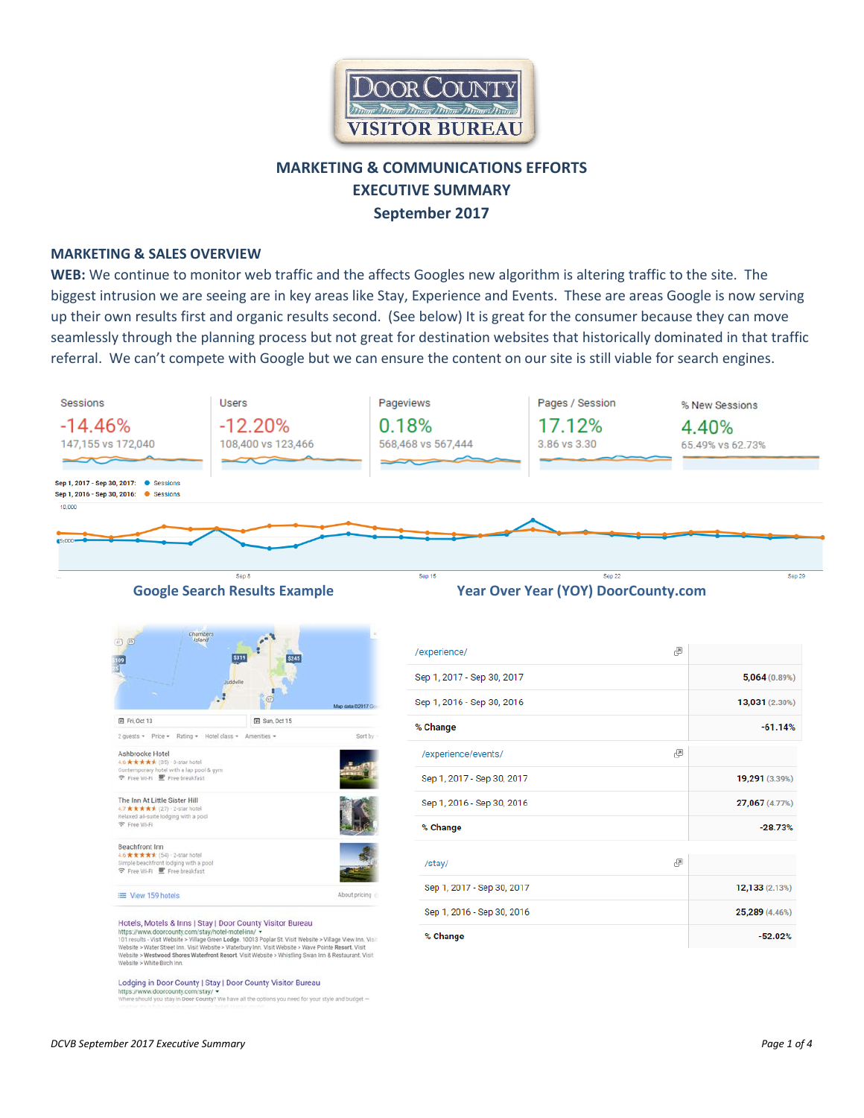

# **MARKETING & COMMUNICATIONS EFFORTS EXECUTIVE SUMMARY September 2017**

#### **MARKETING & SALES OVERVIEW**

**WEB:** We continue to monitor web traffic and the affects Googles new algorithm is altering traffic to the site. The biggest intrusion we are seeing are in key areas like Stay, Experience and Events. These are areas Google is now serving up their own results first and organic results second. (See below) It is great for the consumer because they can move seamlessly through the planning process but not great for destination websites that historically dominated in that traffic referral. We can't compete with Google but we can ensure the content on our site is still viable for search engines.



 **Google Search Results Example Year Over Year (YOY) DoorCounty.com**

| Chambers<br>Island<br>⊕<br>$\sqrt{35}$                                                                                         | \$319<br>\$245<br><b>Juddville</b> |                   |
|--------------------------------------------------------------------------------------------------------------------------------|------------------------------------|-------------------|
|                                                                                                                                |                                    | Map data @2017 Go |
| <b>回</b> Fri, Oct 13                                                                                                           | <b>网</b> Sun, Oct 15               |                   |
| 2 quests = Price = Rating = Hotel class = Amenities =                                                                          |                                    | Sort by -         |
| Ashbrooke Hotel<br>4.6 ★ ★ ★ ★ (35) - 3-star hotel<br>Contemporary hotel with a lap pool & gym.<br>Free Wi-Fi P Free breakfast |                                    |                   |
| The Inn At Little Sister Hill<br>4.7 ★ ★ ★ ★ (27) - 2-star hotel<br>Relaxed all-suite lodging with a pool<br>令 Free Wi-Fi      |                                    |                   |
| Beachfront Inn<br>4.6 ★ ★ ★ ★ * (54) - 2-star hotel<br>Simple beachfront lodging with a pool<br>→ Free Wi-Fi ■ Free breakfast  |                                    |                   |
| <b>E View 159 hotels</b>                                                                                                       |                                    | About pricing     |

| Ð<br>/experience/          |                |
|----------------------------|----------------|
| Sep 1, 2017 - Sep 30, 2017 | 5,064(0.89%)   |
| Sep 1, 2016 - Sep 30, 2016 | 13,031 (2.30%) |
| % Change                   | $-61.14%$      |
| ი<br>/experience/events/   |                |
| Sep 1, 2017 - Sep 30, 2017 | 19,291 (3.39%) |
| Sep 1, 2016 - Sep 30, 2016 | 27,067 (4.77%) |
| % Change                   | $-28.73%$      |
|                            |                |
| Ð<br>/stay/                |                |
| Sep 1, 2017 - Sep 30, 2017 | 12,133 (2.13%) |
| Sep 1, 2016 - Sep 30, 2016 | 25,289 (4.46%) |
| % Change                   | $-52.02%$      |

#### Hotels, Motels & Inns | Stay | Door County Visitor Bureau

Truckiss, invices or arrival is court of the Machine Hammar and the Higgs://www.doorcountly.com/stay/hotel-motel-lini<br>101 results - Visit Website > Village Green Lodge .10013 Poplar St. Visit Website > Village View Inn. Vi

Lodging in Door County | Stay | Door County Visitor Bureau

, www.doorcounty.com/stay/<br>should you stay in Door County? We have all the options you need for your style and budget -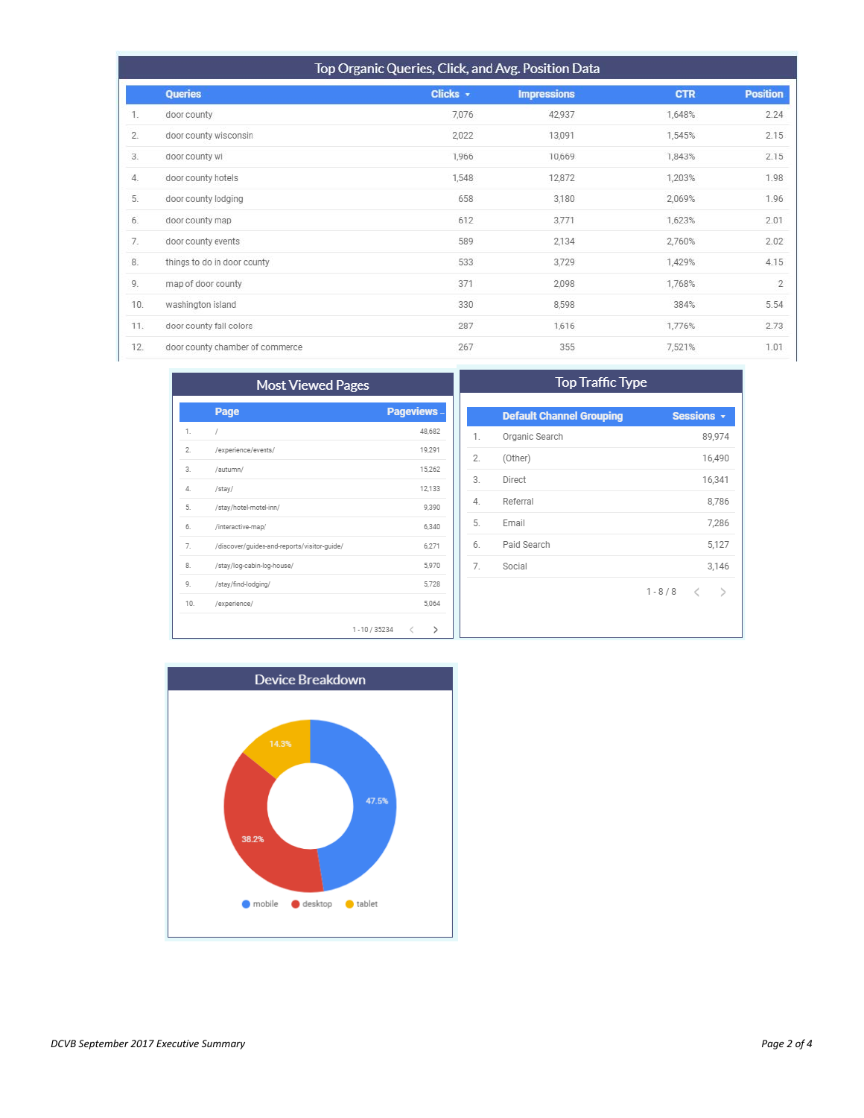| Top Organic Queries, Click, and Avg. Position Data |                                 |          |                    |            |                 |
|----------------------------------------------------|---------------------------------|----------|--------------------|------------|-----------------|
|                                                    | Queries                         | Clicks - | <b>Impressions</b> | <b>CTR</b> | <b>Position</b> |
| 12                                                 | door county                     | 7,076    | 42,937             | 1,648%     | 2.24            |
| 2.                                                 | door county wisconsin           | 2,022    | 13,091             | 1,545%     | 2.15            |
| 3.                                                 | door county wi                  | 1,966    | 10,669             | 1,843%     | 2.15            |
| 4.                                                 | door county hotels              | 1,548    | 12,872             | 1,203%     | 1.98            |
| 5.                                                 | door county lodging             | 658      | 3,180              | 2,069%     | 1.96            |
| 6.                                                 | door county map                 | 612      | 3,771              | 1,623%     | 2.01            |
| 7.                                                 | door county events              | 589      | 2,134              | 2,760%     | 2.02            |
| 8.                                                 | things to do in door county     | 533      | 3,729              | 1,429%     | 4.15            |
| 9.                                                 | map of door county              | 371      | 2,098              | 1,768%     | $\overline{2}$  |
| 10.                                                | washington island               | 330      | 8,598              | 384%       | 5.54            |
| 11.                                                | door county fall colors         | 287      | 1,616              | 1,776%     | 2.73            |
| 12.                                                | door county chamber of commerce | 267      | 355                | 7,521%     | 1.01            |

| <b>Most Viewed Pages</b> |                                             |                |            |        |
|--------------------------|---------------------------------------------|----------------|------------|--------|
|                          | Page                                        |                | Pageviews- |        |
| 1.                       | J                                           |                |            | 48,682 |
| 2.                       | /experience/events/                         |                |            | 19.291 |
| 3.                       | /autumn/                                    |                |            | 15.262 |
| 4.                       | /stay/                                      |                |            | 12.133 |
| 5.                       | /stay/hotel-motel-inn/                      |                |            | 9.390  |
| 6.                       | /interactive-map/                           |                |            | 6.340  |
| 7.                       | /discover/quides-and-reports/visitor-quide/ |                |            | 6.271  |
| 8.                       | /stay/log-cabin-log-house/                  |                |            | 5.970  |
| 9.                       | /stay/find-lodging/                         |                |            | 5,728  |
| 10.                      | /experience/                                |                |            | 5.064  |
|                          |                                             | 1 - 10 / 35234 |            | ⋗      |

# **Top Traffic Type**

|    | <b>Default Channel Grouping</b> | Sessions + |
|----|---------------------------------|------------|
| 1. | Organic Search                  | 89,974     |
| 2. | (Other)                         | 16,490     |
| 3. | Direct                          | 16,341     |
| 4. | Referral                        | 8,786      |
| 5. | Email                           | 7,286      |
| 6. | Paid Search                     | 5,127      |
| 7. | Social                          | 3,146      |
|    |                                 | $1 - 8/8$  |

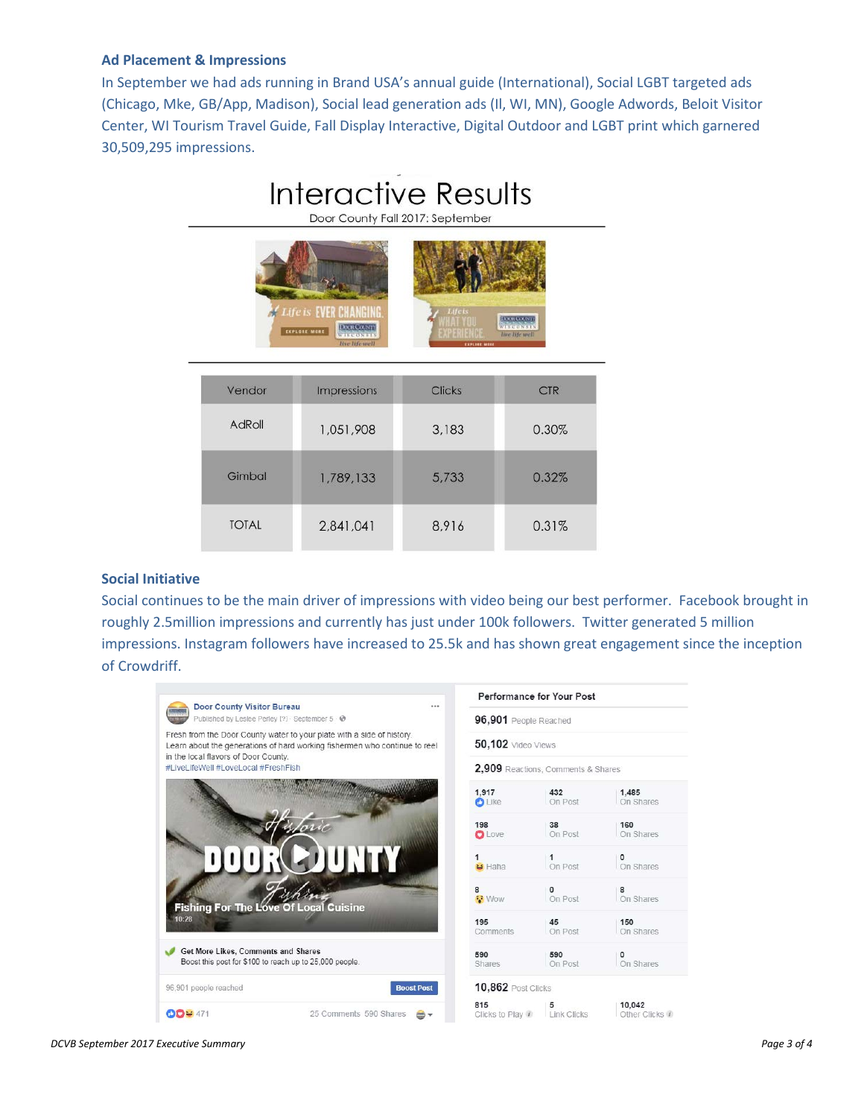### **Ad Placement & Impressions**

In September we had ads running in Brand USA's annual guide (International), Social LGBT targeted ads (Chicago, Mke, GB/App, Madison), Social lead generation ads (Il, WI, MN), Google Adwords, Beloit Visitor Center, WI Tourism Travel Guide, Fall Display Interactive, Digital Outdoor and LGBT print which garnered 30,509,295 impressions.

| <b>Interactive Results</b><br>Door County Fall 2017: September                                                                     |             |        |            |  |
|------------------------------------------------------------------------------------------------------------------------------------|-------------|--------|------------|--|
| Life is EVER CHANGING.<br><b>Life is</b><br>EXPLORE MORE<br>live life well<br><b>TERME</b><br><b>Hve life well</b><br>EXPLORE MORE |             |        |            |  |
| Vendor                                                                                                                             | Impressions | Clicks | <b>CTR</b> |  |
| AdRoll                                                                                                                             | 1,051,908   | 3,183  | 0.30%      |  |
| Gimbal                                                                                                                             | 1,789,133   | 5,733  | 0.32%      |  |
| <b>TOTAL</b>                                                                                                                       | 2.841.041   | 8.916  | 0.31%      |  |

## **Social Initiative**

Social continues to be the main driver of impressions with video being our best performer. Facebook brought in roughly 2.5million impressions and currently has just under 100k followers. Twitter generated 5 million impressions. Instagram followers have increased to 25.5k and has shown great engagement since the inception of Crowdriff.